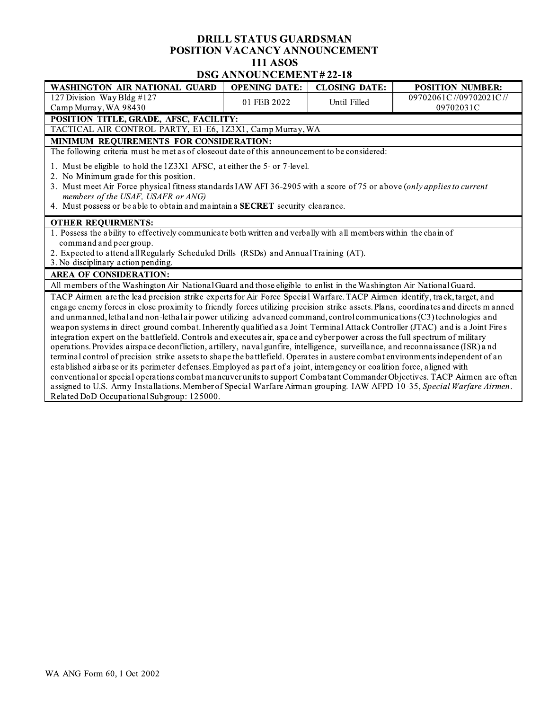## DRILL STATUS GUARDSMAN POSITION VACANCY ANNOUNCEMENT **111 ASOS DSG ANNOUNCEMENT#22-18**

| <b>WASHINGTON AIR NATIONAL GUARD</b>                                                                                               | <b>OPENING DATE:</b> | <b>CLOSING DATE:</b> | <b>POSITION NUMBER:</b> |
|------------------------------------------------------------------------------------------------------------------------------------|----------------------|----------------------|-------------------------|
| 127 Division Way Bldg #127                                                                                                         | 01 FEB 2022          | Until Filled         | 09702061C//09702021C//  |
| Camp Murray, WA 98430                                                                                                              |                      |                      | 09702031C               |
| POSITION TITLE, GRADE, AFSC, FACILITY:                                                                                             |                      |                      |                         |
| TACTICAL AIR CONTROL PARTY, E1-E6, 1Z3X1, Camp Murray, WA                                                                          |                      |                      |                         |
| MINIMUM REQUIREMENTS FOR CONSIDERATION:                                                                                            |                      |                      |                         |
| The following criteria must be met as of closeout date of this announcement to be considered:                                      |                      |                      |                         |
| 1. Must be eligible to hold the 1Z3X1 AFSC, at either the 5- or 7-level.                                                           |                      |                      |                         |
| 2. No Minimum grade for this position.                                                                                             |                      |                      |                         |
| 3. Must meet Air Force physical fitness standards IAW AFI 36-2905 with a score of 75 or above (only applies to current             |                      |                      |                         |
| members of the USAF, USAFR or ANG)                                                                                                 |                      |                      |                         |
| 4. Must possess or be able to obtain and maintain a SECRET security clearance.                                                     |                      |                      |                         |
| <b>OTHER REQUIRMENTS:</b>                                                                                                          |                      |                      |                         |
| 1. Possess the ability to effectively communicate both written and verbally with all members within the chain of                   |                      |                      |                         |
| command and peer group.                                                                                                            |                      |                      |                         |
| 2. Expected to attend all Regularly Scheduled Drills (RSDs) and Annual Training (AT).                                              |                      |                      |                         |
| 3. No disciplinary action pending.                                                                                                 |                      |                      |                         |
| <b>AREA OF CONSIDERATION:</b>                                                                                                      |                      |                      |                         |
| All members of the Washington Air National Guard and those eligible to enlist in the Washington Air National Guard.                |                      |                      |                         |
| TACP Airmen are the lead precision strike experts for Air Force Special Warfare. TACP Airmen identify, track, target, and          |                      |                      |                         |
| engage enemy forces in close proximity to friendly forces utilizing precision strike assets. Plans, coordinates and directs manned |                      |                      |                         |
| and unmanned, lethal and non-lethal air power utilizing advanced command, control communications (C3) technologies and             |                      |                      |                         |
| weapon systems in direct ground combat. Inherently qualified as a Joint Terminal Attack Controller (JTAC) and is a Joint Fires     |                      |                      |                         |
| integration expert on the battlefield. Controls and executes air, space and cyber power across the full spectrum of military       |                      |                      |                         |
| operations. Provides airspace deconfliction, artillery, navalgunfire, intelligence, surveillance, and reconnaissance (ISR) and     |                      |                      |                         |
| terminal control of precision strike assets to shape the battlefield. Operates in austere combat environments independent of an    |                      |                      |                         |
| established airbase or its perimeter defenses. Employed as part of a joint, interagency or coalition force, aligned with           |                      |                      |                         |
| conventional or special operations combat maneuver units to support Combatant Commander Objectives. TACP Airmen are often          |                      |                      |                         |
| assigned to U.S. Army Installations. Member of Special Warfare Airman grouping. IAW AFPD 10-35, Special Warfare Airmen.            |                      |                      |                         |
| Related DoD Occupational Subgroup: 125000.                                                                                         |                      |                      |                         |